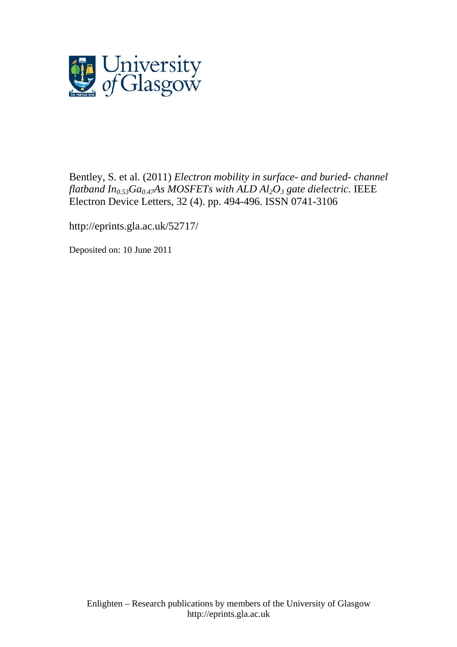

Bentley, S. et al. (2011) *Electron mobility in surface- and buried- channel flatband*  $In_{0.53}Ga_{0.47}As MOSFETs with ALD Al<sub>2</sub>O<sub>3</sub> gate dielectric. IEEE$ [Electron Device Letters,](http://eprints.gla.ac.uk/view/journal_volume/IEEE_Electron_Device_Letters.html) 32 (4). pp. 494-496. ISSN 0741-3106

http://eprints.gla.ac.uk/52717/

Deposited on: 10 June 2011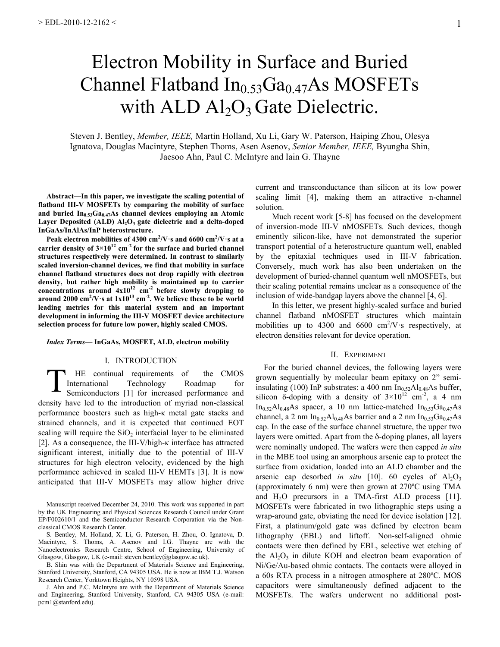# Electron Mobility in Surface and Buried Channel Flatband  $In_{0.53}Ga_{0.47}As$  MOSFETs with  $ALD$   $Al_2O_3$  Gate Dielectric.

Steven J. Bentley, *Member, IEEE,* Martin Holland, Xu Li, Gary W. Paterson, Haiping Zhou, Olesya Ignatova, Douglas Macintyre, Stephen Thoms, Asen Asenov, *Senior Member, IEEE,* Byungha Shin, Jaesoo Ahn, Paul C. McIntyre and Iain G. Thayne

**Abstract—In this paper, we investigate the scaling potential of flatband III-V MOSFETs by comparing the mobility of surface**  and buried  $In_{0.53}Ga_{0.47}As$  channel devices employing an Atomic Layer Deposited (ALD) Al<sub>2</sub>O<sub>3</sub> gate dielectric and a delta-doped **InGaAs/InAlAs/InP heterostructure.**

**Peak electron mobilities of 4300 cm<sup>2</sup> /V·s and 6600 cm2 /V·s at a**  carrier density of  $3 \times 10^{12}$  cm<sup>-2</sup> for the surface and buried channel **structures respectively were determined. In contrast to similarly scaled inversion-channel devices, we find that mobility in surface channel flatband structures does not drop rapidly with electron density, but rather high mobility is maintained up to carrier concentrations around 4x1012 cm-2 before slowly dropping to**  around 2000  $\text{cm}^2/\text{V}\cdot\text{s}$  at  $1x10^{13} \text{ cm}^{-2}$ . We believe these to be world **leading metrics for this material system and an important development in informing the III-V MOSFET device architecture selection process for future low power, highly scaled CMOS.**

#### *Index Terms***— InGaAs, MOSFET, ALD, electron mobility**

### I. INTRODUCTION

HE continual requirements of the CMOS International Technology Roadmap for Semiconductors [1] for increased performance and density have led to the introduction of myriad non-classical performance boosters such as high-κ metal gate stacks and strained channels, and it is expected that continued EOT scaling will require the  $SiO<sub>2</sub>$  interfacial layer to be eliminated [2]. As a consequence, the III-V/high-κ interface has attracted significant interest, initially due to the potential of III-V structures for high electron velocity, evidenced by the high performance achieved in scaled III-V HEMTs [3]. It is now anticipated that III-V MOSFETs may allow higher drive T

Manuscript received December 24, 2010. This work was supported in part by the UK Engineering and Physical Sciences Research Council under Grant EP/F002610/1 and the Semiconductor Research Corporation via the Nonclassical CMOS Research Center.

S. Bentley, M. Holland, X. Li, G. Paterson, H. Zhou, O. Ignatova, D. Macintyre, S. Thoms, A. Asenov and I.G. Thayne are with the Nanoelectronics Research Centre, School of Engineering, University of Glasgow, Glasgow, UK (e-mail: steven.bentley@glasgow.ac.uk).

B. Shin was with the Department of Materials Science and Engineering, Stanford University, Stanford, CA 94305 USA. He is now at IBM T.J. Watson Research Center, Yorktown Heights, NY 10598 USA.

J. Ahn and P.C. McIntyre are with the Department of Materials Science and Engineering, Stanford University, Stanford, CA 94305 USA (e-mail: pcm1@stanford.edu).

current and transconductance than silicon at its low power scaling limit [4], making them an attractive n-channel solution.

Much recent work [5-8] has focused on the development of inversion-mode III-V nMOSFETs. Such devices, though eminently silicon-like, have not demonstrated the superior transport potential of a heterostructure quantum well, enabled by the epitaxial techniques used in III-V fabrication. Conversely, much work has also been undertaken on the development of buried-channel quantum well nMOSFETs, but their scaling potential remains unclear as a consequence of the inclusion of wide-bandgap layers above the channel [4, 6].

In this letter, we present highly-scaled surface and buried channel flatband nMOSFET structures which maintain mobilities up to 4300 and 6600  $\text{cm}^2/\text{V}\cdot\text{s}$  respectively, at electron densities relevant for device operation.

## II. EXPERIMENT

For the buried channel devices, the following layers were grown sequentially by molecular beam epitaxy on 2" semiinsulating (100) InP substrates: a 400 nm  $In<sub>0.52</sub>Al<sub>0.48</sub>As buffer,$ silicon  $\delta$ -doping with a density of  $3 \times 10^{12}$  cm<sup>-2</sup>, a 4 nm  $In<sub>0.52</sub>Al<sub>0.48</sub>As$  spacecraft, a 10 nm lattice-matched  $In<sub>0.53</sub>Ga<sub>0.47</sub>As$ channel, a 2 nm In<sub>0.52</sub>Al<sub>0.48</sub>As barrier and a 2 nm In<sub>0.53</sub>Ga<sub>0.47</sub>As cap. In the case of the surface channel structure, the upper two layers were omitted. Apart from the δ-doping planes, all layers were nominally undoped. The wafers were then capped *in situ*  in the MBE tool using an amorphous arsenic cap to protect the surface from oxidation, loaded into an ALD chamber and the arsenic cap desorbed *in situ* [10]. 60 cycles of  $Al_2O_3$ (approximately 6 nm) were then grown at 270ºC using TMA and  $H_2O$  precursors in a TMA-first ALD process [11]. MOSFETs were fabricated in two lithographic steps using a wrap-around gate, obviating the need for device isolation [12]. First, a platinum/gold gate was defined by electron beam lithography (EBL) and liftoff. Non-self-aligned ohmic contacts were then defined by EBL, selective wet etching of the  $Al_2O_3$  in dilute KOH and electron beam evaporation of Ni/Ge/Au-based ohmic contacts. The contacts were alloyed in a 60s RTA process in a nitrogen atmosphere at 280ºC. MOS capacitors were simultaneously defined adjacent to the MOSFETs. The wafers underwent no additional post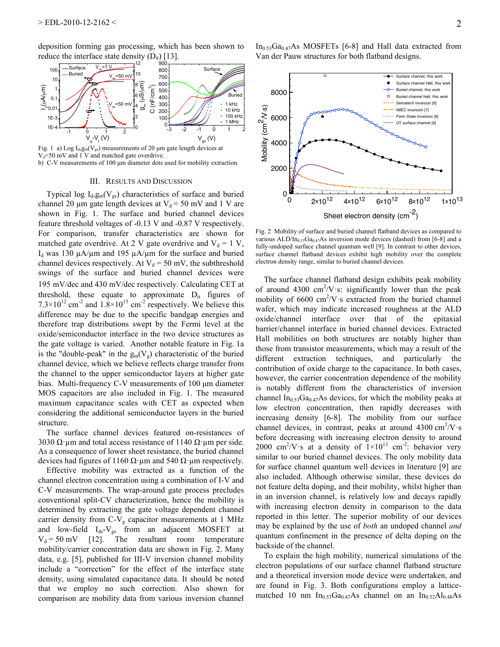deposition forming gas processing, which has been shown to reduce the interface state density  $(D_{it})$  [13].



Fig. 1 a) Log  $I_d$ ,  $g_m(V_{gs})$  measurements of 20  $\mu$ m gate length devices at  $V_d$ =50 mV and 1 V and matched gate overdrive. b) C-V measurements of 100  $\mu$ m diameter dots used for mobility extraction.

#### III. RESULTS AND DISCUSSION

Typical log  $I_d, g_m(V_{gs})$  characteristics of surface and buried channel 20  $\mu$ m gate length devices at V<sub>d</sub> = 50 mV and 1 V are shown in Fig. 1. The surface and buried channel devices feature threshold voltages of -0.13 V and -0.87 V respectively. For comparison, transfer characteristics are shown for matched gate overdrive. At 2 V gate overdrive and  $V_d = 1 V$ ,  $I_d$  was 130  $\mu$ A/ $\mu$ m and 195  $\mu$ A/ $\mu$ m for the surface and buried channel devices respectively. At  $V_d = 50$  mV, the subthreshold swings of the surface and buried channel devices were 195 mV/dec and 430 mV/dec respectively. Calculating CET at threshold, these equate to approximate  $D_{it}$  figures of  $7.3 \times 10^{12}$  cm<sup>-2</sup> and  $1.8 \times 10^{13}$  cm<sup>-2</sup> respectively. We believe this difference may be due to the specific bandgap energies and therefore trap distributions swept by the Fermi level at the oxide/semiconductor interface in the two device structures as the gate voltage is varied. Another notable feature in Fig. 1a is the "double-peak" in the  $g_m(V_g)$  characteristic of the buried channel device, which we believe reflects charge transfer from the channel to the upper semiconductor layers at higher gate bias. Multi-frequency C-V measurements of 100 µm diameter MOS capacitors are also included in Fig. 1. The measured maximum capacitance scales with CET as expected when considering the additional semiconductor layers in the buried structure.

The surface channel devices featured on-resistances of 3030  $\Omega$  um and total access resistance of 1140  $\Omega$  um per side. As a consequence of lower sheet resistance, the buried channel devices had figures of 1160 Ω⋅μm and 540 Ω⋅μm respectively.

Effective mobility was extracted as a function of the channel electron concentration using a combination of I-V and C-V measurements. The wrap-around gate process precludes conventional split-CV characterization, hence the mobility is determined by extracting the gate voltage dependent channel carrier density from  $C-V_g$  capacitor measurements at 1 MHz and low-field  $I_{ds}-V_{gs}$  from an adjacent MOSFET at  $V_d = 50$  mV [12]. The resultant room temperature mobility/carrier concentration data are shown in Fig. 2. Many data, e.g. [5], published for III-V inversion channel mobility include a "correction" for the effect of the interface state density, using simulated capacitance data. It should be noted that we employ no such correction. Also shown for comparison are mobility data from various inversion channel

 $In<sub>0.53</sub>Ga<sub>0.47</sub>As MOSFETs [6-8] and Hall data extracted from$ Van der Pauw structures for both flatband designs.



Fig. 2 Mobility of surface and buried channel flatband devices as compared to various ALD/In<sub>0.53</sub>Ga<sub>0.47</sub>As inversion mode devices (dashed) from [6-8] and a fully-undoped surface channel quantum well [9]. In contrast to other devices, surface channel flatband devices exhibit high mobility over the complete electron density range, similar to buried channel devices.

The surface channel flatband design exhibits peak mobility of around 4300 cm<sup>2</sup>/V s: significantly lower than the peak mobility of  $6600 \text{ cm}^2/\text{V}$  s extracted from the buried channel wafer, which may indicate increased roughness at the ALD oxide/channel interface over that of the epitaxial barrier/channel interface in buried channel devices. Extracted Hall mobilities on both structures are notably higher than those from transistor measurements, which may a result of the different extraction techniques, and particularly the contribution of oxide charge to the capacitance. In both cases, however, the carrier concentration dependence of the mobility is notably different from the characteristics of inversion channel In<sub>0.53</sub>Ga<sub>0.47</sub>As devices, for which the mobility peaks at low electron concentration, then rapidly decreases with increasing density [6-8]. The mobility from our surface channel devices, in contrast, peaks at around  $4300 \text{ cm}^2/\text{V} \cdot \text{s}$ before decreasing with increasing electron density to around 2000 cm<sup>2</sup>/V·s at a density of  $1\times10^{13}$  cm<sup>-2</sup>: behavior very similar to our buried channel devices. The only mobility data for surface channel quantum well devices in literature [9] are also included. Although otherwise similar, these devices do not feature delta doping, and their mobility, whilst higher than in an inversion channel, is relatively low and decays rapidly with increasing electron density in comparison to the data reported in this letter. The superior mobility of our devices may be explained by the use of *both* an undoped channel *and*  quantum confinement in the presence of delta doping on the backside of the channel.

To explain the high mobility, numerical simulations of the electron populations of our surface channel flatband structure and a theoretical inversion mode device were undertaken, and are found in Fig. 3. Both configurations employ a latticematched 10 nm  $In<sub>0.53</sub>Ga<sub>0.47</sub>As channel on an  $In<sub>0.52</sub>Al<sub>0.48</sub>As$$